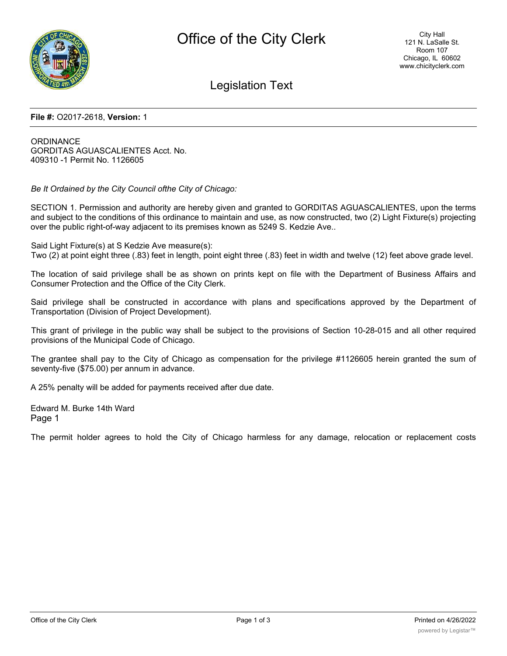

## Legislation Text

#### **File #:** O2017-2618, **Version:** 1

**ORDINANCE** GORDITAS AGUASCALIENTES Acct. No. 409310 -1 Permit No. 1126605

*Be It Ordained by the City Council ofthe City of Chicago:*

SECTION 1. Permission and authority are hereby given and granted to GORDITAS AGUASCALIENTES, upon the terms and subject to the conditions of this ordinance to maintain and use, as now constructed, two (2) Light Fixture(s) projecting over the public right-of-way adjacent to its premises known as 5249 S. Kedzie Ave..

Said Light Fixture(s) at S Kedzie Ave measure(s): Two (2) at point eight three (.83) feet in length, point eight three (.83) feet in width and twelve (12) feet above grade level.

The location of said privilege shall be as shown on prints kept on file with the Department of Business Affairs and Consumer Protection and the Office of the City Clerk.

Said privilege shall be constructed in accordance with plans and specifications approved by the Department of Transportation (Division of Project Development).

This grant of privilege in the public way shall be subject to the provisions of Section 10-28-015 and all other required provisions of the Municipal Code of Chicago.

The grantee shall pay to the City of Chicago as compensation for the privilege #1126605 herein granted the sum of seventy-five (\$75.00) per annum in advance.

A 25% penalty will be added for payments received after due date.

Edward M. Burke 14th Ward Page 1

The permit holder agrees to hold the City of Chicago harmless for any damage, relocation or replacement costs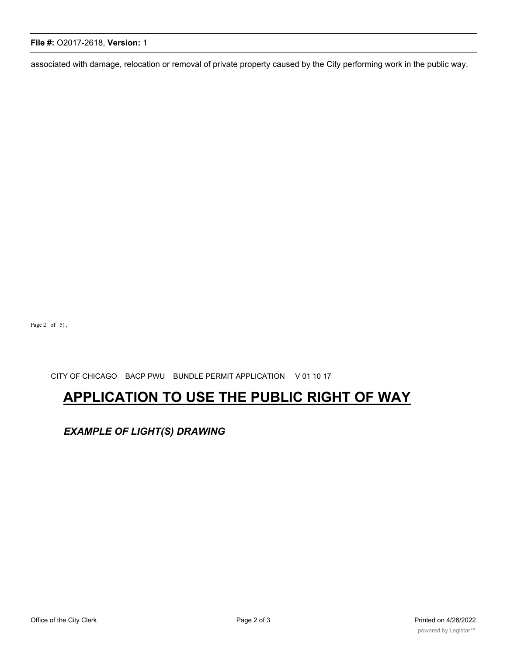#### **File #:** O2017-2618, **Version:** 1

associated with damage, relocation or removal of private property caused by the City performing work in the public way.

Page 2 of 5),

CITY OF CHICAGO BACP PWU BUNDLE PERMIT APPLICATION V 01 10 17

# **APPLICATION TO USE THE PUBLIC RIGHT OF WAY**

*EXAMPLE OF LIGHT(S) DRAWING*